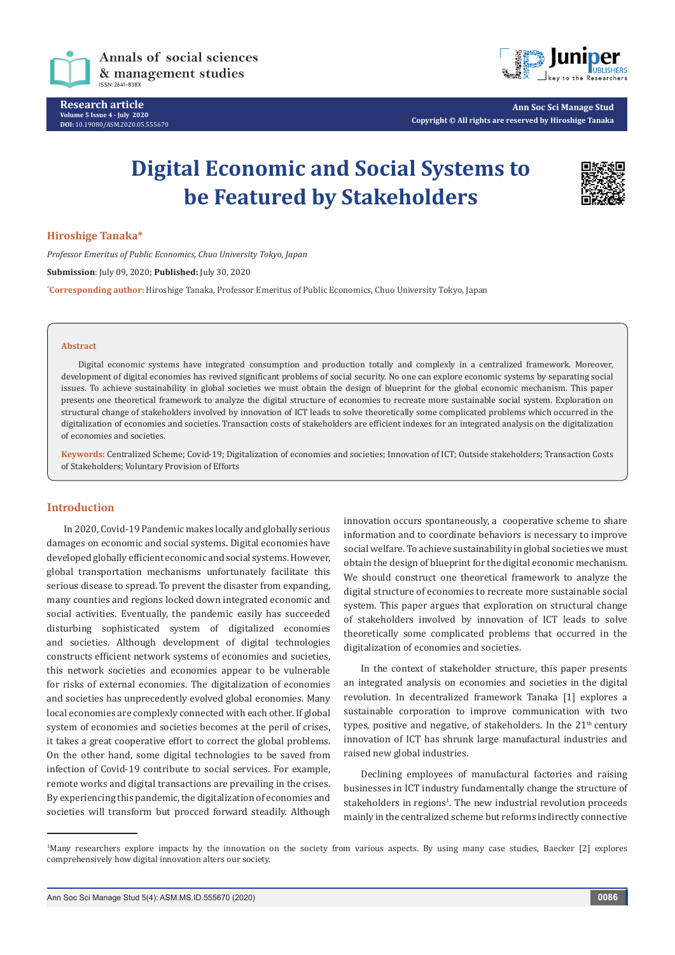

**Research article Volume 5 Issue 4 - July 2020 DOI:** [10.19080/ASM.2020.05.5556](http://dx.doi.org/10.19080/ASM.2020.05.555669)70



**Ann Soc Sci Manage Stud Copyright © All rights are reserved by Hiroshige Tanaka**

# **Digital Economic and Social Systems to be Featured by Stakeholders**



# **Hiroshige Tanaka\***

*Professor Emeritus of Public Economics, Chuo University Tokyo, Japan* **Submission**: July 09, 2020; **Published:** July 30, 2020 **\* Corresponding author:** Hiroshige Tanaka, Professor Emeritus of Public Economics, Chuo University Tokyo, Japan

#### **Abstract**

Digital economic systems have integrated consumption and production totally and complexly in a centralized framework. Moreover, development of digital economies has revived significant problems of social security. No one can explore economic systems by separating social issues. To achieve sustainability in global societies we must obtain the design of blueprint for the global economic mechanism. This paper presents one theoretical framework to analyze the digital structure of economies to recreate more sustainable social system. Exploration on structural change of stakeholders involved by innovation of ICT leads to solve theoretically some complicated problems which occurred in the digitalization of economies and societies. Transaction costs of stakeholders are efficient indexes for an integrated analysis on the digitalization of economies and societies.

**Keywords:** Centralized Scheme; Covid-19; Digitalization of economies and societies; Innovation of ICT; Outside stakeholders; Transaction Costs of Stakeholders; Voluntary Provision of Efforts

# **Introduction**

In 2020, Covid-19 Pandemic makes locally and globally serious damages on economic and social systems. Digital economies have developed globally efficient economic and social systems. However, global transportation mechanisms unfortunately facilitate this serious disease to spread. To prevent the disaster from expanding, many counties and regions locked down integrated economic and social activities. Eventually, the pandemic easily has succeeded disturbing sophisticated system of digitalized economies and societies. Although development of digital technologies constructs efficient network systems of economies and societies, this network societies and economies appear to be vulnerable for risks of external economies. The digitalization of economies and societies has unprecedently evolved global economies. Many local economies are complexly connected with each other. If global system of economies and societies becomes at the peril of crises, it takes a great cooperative effort to correct the global problems. On the other hand, some digital technologies to be saved from infection of Covid-19 contribute to social services. For example, remote works and digital transactions are prevailing in the crises. By experiencing this pandemic, the digitalization of economies and societies will transform but procced forward steadily. Although

innovation occurs spontaneously, a cooperative scheme to share information and to coordinate behaviors is necessary to improve social welfare. To achieve sustainability in global societies we must obtain the design of blueprint for the digital economic mechanism. We should construct one theoretical framework to analyze the digital structure of economies to recreate more sustainable social system. This paper argues that exploration on structural change of stakeholders involved by innovation of ICT leads to solve theoretically some complicated problems that occurred in the digitalization of economies and societies.

In the context of stakeholder structure, this paper presents an integrated analysis on economies and societies in the digital revolution. In decentralized framework Tanaka [1] explores a sustainable corporation to improve communication with two types, positive and negative, of stakeholders. In the  $21<sup>th</sup>$  century innovation of ICT has shrunk large manufactural industries and raised new global industries.

Declining employees of manufactural factories and raising businesses in ICT industry fundamentally change the structure of stakeholders in regions<sup>1</sup>. The new industrial revolution proceeds mainly in the centralized scheme but reforms indirectly connective

<sup>1</sup> Many researchers explore impacts by the innovation on the society from various aspects. By using many case studies, Baecker [2] explores comprehensively how digital innovation alters our society.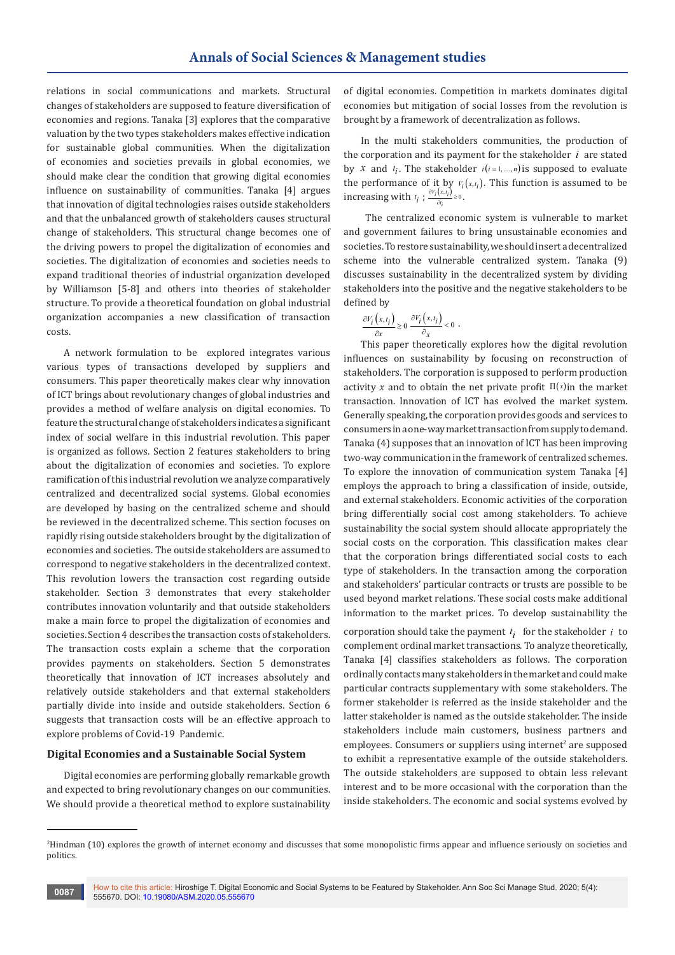relations in social communications and markets. Structural changes of stakeholders are supposed to feature diversification of economies and regions. Tanaka [3] explores that the comparative valuation by the two types stakeholders makes effective indication for sustainable global communities. When the digitalization of economies and societies prevails in global economies, we should make clear the condition that growing digital economies influence on sustainability of communities. Tanaka [4] argues that innovation of digital technologies raises outside stakeholders and that the unbalanced growth of stakeholders causes structural change of stakeholders. This structural change becomes one of the driving powers to propel the digitalization of economies and societies. The digitalization of economies and societies needs to expand traditional theories of industrial organization developed by Williamson [5-8] and others into theories of stakeholder structure. To provide a theoretical foundation on global industrial organization accompanies a new classification of transaction costs.

A network formulation to be explored integrates various various types of transactions developed by suppliers and consumers. This paper theoretically makes clear why innovation of ICT brings about revolutionary changes of global industries and provides a method of welfare analysis on digital economies. To feature the structural change of stakeholders indicates a significant index of social welfare in this industrial revolution. This paper is organized as follows. Section 2 features stakeholders to bring about the digitalization of economies and societies. To explore ramification of this industrial revolution we analyze comparatively centralized and decentralized social systems. Global economies are developed by basing on the centralized scheme and should be reviewed in the decentralized scheme. This section focuses on rapidly rising outside stakeholders brought by the digitalization of economies and societies. The outside stakeholders are assumed to correspond to negative stakeholders in the decentralized context. This revolution lowers the transaction cost regarding outside stakeholder. Section 3 demonstrates that every stakeholder contributes innovation voluntarily and that outside stakeholders make a main force to propel the digitalization of economies and societies. Section 4 describes the transaction costs of stakeholders. The transaction costs explain a scheme that the corporation provides payments on stakeholders. Section 5 demonstrates theoretically that innovation of ICT increases absolutely and relatively outside stakeholders and that external stakeholders partially divide into inside and outside stakeholders. Section 6 suggests that transaction costs will be an effective approach to explore problems of Covid-19 Pandemic.

## **Digital Economies and a Sustainable Social System**

Digital economies are performing globally remarkable growth and expected to bring revolutionary changes on our communities. We should provide a theoretical method to explore sustainability of digital economies. Competition in markets dominates digital economies but mitigation of social losses from the revolution is brought by a framework of decentralization as follows.

In the multi stakeholders communities, the production of the corporation and its payment for the stakeholder *i* are stated by *x* and  $t_i$ . The stakeholder  $i(i=1,...,n)$  is supposed to evaluate the performance of it by  $V_i(x,t_i)$ . This function is assumed to be increasing with  $t_i$ ;  $\frac{\partial V_i(x,t_i)}{\partial t_i} \ge 0$ .

 The centralized economic system is vulnerable to market and government failures to bring unsustainable economies and societies. To restore sustainability, we should insert a decentralized scheme into the vulnerable centralized system. Tanaka (9) discusses sustainability in the decentralized system by dividing stakeholders into the positive and the negative stakeholders to be defined by

$$
\frac{\partial V_i(x,t_i)}{\partial x} \ge 0 \frac{\partial V_i(x,t_i)}{\partial x} < 0 .
$$

This paper theoretically explores how the digital revolution influences on sustainability by focusing on reconstruction of stakeholders. The corporation is supposed to perform production activity x and to obtain the net private profit  $\Pi(x)$  in the market transaction. Innovation of ICT has evolved the market system. Generally speaking, the corporation provides goods and services to consumers in a one-way market transaction from supply to demand. Tanaka (4) supposes that an innovation of ICT has been improving two-way communication in the framework of centralized schemes. To explore the innovation of communication system Tanaka [4] employs the approach to bring a classification of inside, outside, and external stakeholders. Economic activities of the corporation bring differentially social cost among stakeholders. To achieve sustainability the social system should allocate appropriately the social costs on the corporation. This classification makes clear that the corporation brings differentiated social costs to each type of stakeholders. In the transaction among the corporation and stakeholders' particular contracts or trusts are possible to be used beyond market relations. These social costs make additional information to the market prices. To develop sustainability the

corporation should take the payment  $t_i$  for the stakeholder  $i$  to complement ordinal market transactions. To analyze theoretically, Tanaka [4] classifies stakeholders as follows. The corporation ordinally contacts many stakeholders in the market and could make particular contracts supplementary with some stakeholders. The former stakeholder is referred as the inside stakeholder and the latter stakeholder is named as the outside stakeholder. The inside stakeholders include main customers, business partners and employees. Consumers or suppliers using internet<sup>2</sup> are supposed to exhibit a representative example of the outside stakeholders. The outside stakeholders are supposed to obtain less relevant interest and to be more occasional with the corporation than the inside stakeholders. The economic and social systems evolved by

<sup>2</sup> Hindman (10) explores the growth of internet economy and discusses that some monopolistic firms appear and influence seriously on societies and politics.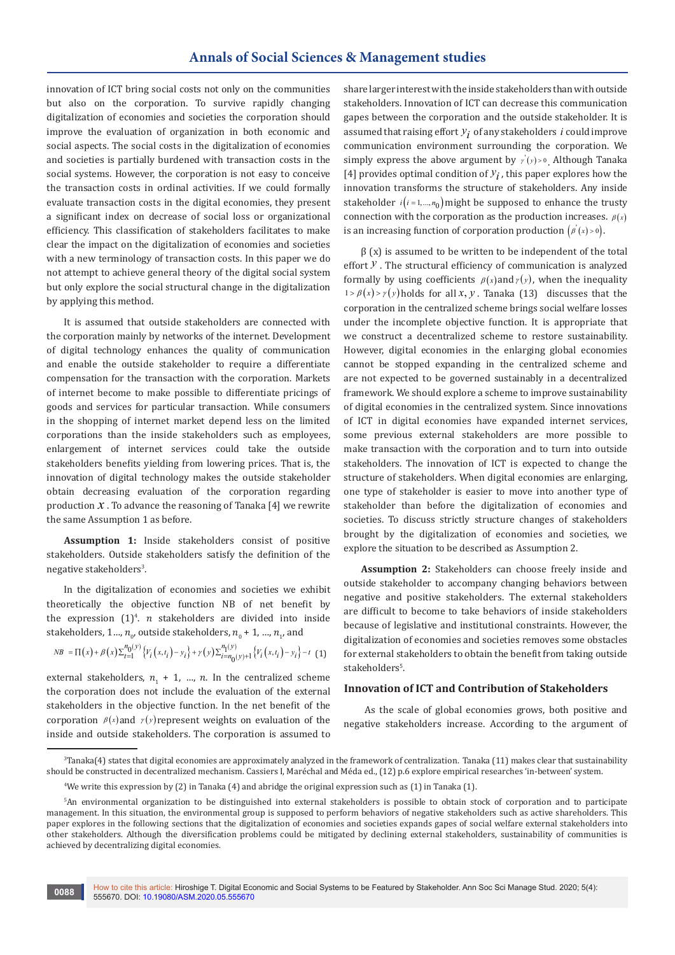innovation of ICT bring social costs not only on the communities but also on the corporation. To survive rapidly changing digitalization of economies and societies the corporation should improve the evaluation of organization in both economic and social aspects. The social costs in the digitalization of economies and societies is partially burdened with transaction costs in the social systems. However, the corporation is not easy to conceive the transaction costs in ordinal activities. If we could formally evaluate transaction costs in the digital economies, they present a significant index on decrease of social loss or organizational efficiency. This classification of stakeholders facilitates to make clear the impact on the digitalization of economies and societies with a new terminology of transaction costs. In this paper we do not attempt to achieve general theory of the digital social system but only explore the social structural change in the digitalization by applying this method.

It is assumed that outside stakeholders are connected with the corporation mainly by networks of the internet. Development of digital technology enhances the quality of communication and enable the outside stakeholder to require a differentiate compensation for the transaction with the corporation. Markets of internet become to make possible to differentiate pricings of goods and services for particular transaction. While consumers in the shopping of internet market depend less on the limited corporations than the inside stakeholders such as employees, enlargement of internet services could take the outside stakeholders benefits yielding from lowering prices. That is, the innovation of digital technology makes the outside stakeholder obtain decreasing evaluation of the corporation regarding production  $X$ . To advance the reasoning of Tanaka  $[4]$  we rewrite the same Assumption 1 as before.

**Assumption 1:** Inside stakeholders consist of positive stakeholders. Outside stakeholders satisfy the definition of the negative stakeholders<sup>3</sup>.

In the digitalization of economies and societies we exhibit theoretically the objective function NB of net benefit by the expression  $(1)^4$ . *n* stakeholders are divided into inside stakeholders,  $1..., n_{\scriptscriptstyle 0'}$  outside stakeholders,  $n_{\scriptscriptstyle 0}$  +  $1, ..., n_{\scriptscriptstyle 1'}$  and

$$
NB = \Pi(x) + \beta(x)\sum_{t=1}^{n_0(y)} \left\{ V_i(x, t_i) - y_i \right\} + \gamma(y)\sum_{i=n_0(y)+1}^{n_1(y)} \left\{ V_i(x, t_i) - y_i \right\} - t \tag{1}
$$

external stakeholders,  $n_{1}$  + 1, ...,  $n$ . In the centralized scheme the corporation does not include the evaluation of the external stakeholders in the objective function. In the net benefit of the corporation  $\beta(x)$  and  $\gamma(y)$  represent weights on evaluation of the inside and outside stakeholders. The corporation is assumed to

share larger interest with the inside stakeholders than with outside stakeholders. Innovation of ICT can decrease this communication gapes between the corporation and the outside stakeholder. It is assumed that raising effort *yi* of any stakeholders *<sup>i</sup>* could improve communication environment surrounding the corporation. We simply express the above argument by  $\dot{y}(y) > 0$ . Although Tanaka [4] provides optimal condition of  $y_i$ , this paper explores how the innovation transforms the structure of stakeholders. Any inside stakeholder  $i(i=1,...,n_0)$  might be supposed to enhance the trusty connection with the corporation as the production increases.  $\beta(x)$ is an increasing function of corporation production  $(\rho'(x) > 0)$ .

 $\beta$  (x) is assumed to be written to be independent of the total effort *y* . The structural efficiency of communication is analyzed formally by using coefficients  $\beta(x)$  and  $\gamma(y)$ , when the inequality  $1 > \beta(x) > \gamma(y)$  holds for all *x*, *y*. Tanaka (13) discusses that the corporation in the centralized scheme brings social welfare losses under the incomplete objective function. It is appropriate that we construct a decentralized scheme to restore sustainability. However, digital economies in the enlarging global economies cannot be stopped expanding in the centralized scheme and are not expected to be governed sustainably in a decentralized framework. We should explore a scheme to improve sustainability of digital economies in the centralized system. Since innovations of ICT in digital economies have expanded internet services, some previous external stakeholders are more possible to make transaction with the corporation and to turn into outside stakeholders. The innovation of ICT is expected to change the structure of stakeholders. When digital economies are enlarging, one type of stakeholder is easier to move into another type of stakeholder than before the digitalization of economies and societies. To discuss strictly structure changes of stakeholders brought by the digitalization of economies and societies, we explore the situation to be described as Assumption 2.

**Assumption 2:** Stakeholders can choose freely inside and outside stakeholder to accompany changing behaviors between negative and positive stakeholders. The external stakeholders are difficult to become to take behaviors of inside stakeholders because of legislative and institutional constraints. However, the digitalization of economies and societies removes some obstacles for external stakeholders to obtain the benefit from taking outside stakeholders<sup>5</sup>.

# **Innovation of ICT and Contribution of Stakeholders**

 As the scale of global economies grows, both positive and negative stakeholders increase. According to the argument of

<sup>3</sup> Tanaka(4) states that digital economies are approximately analyzed in the framework of centralization. Tanaka (11) makes clear that sustainability should be constructed in decentralized mechanism. Cassiers I, Maréchal and Méda ed., (12) p.6 explore empirical researches 'in-between' system.

<sup>4</sup> We write this expression by (2) in Tanaka (4) and abridge the original expression such as (1) in Tanaka (1).

<sup>5</sup> An environmental organization to be distinguished into external stakeholders is possible to obtain stock of corporation and to participate management. In this situation, the environmental group is supposed to perform behaviors of negative stakeholders such as active shareholders. This paper explores in the following sections that the digitalization of economies and societies expands gapes of social welfare external stakeholders into other stakeholders. Although the diversification problems could be mitigated by declining external stakeholders, sustainability of communities is achieved by decentralizing digital economies.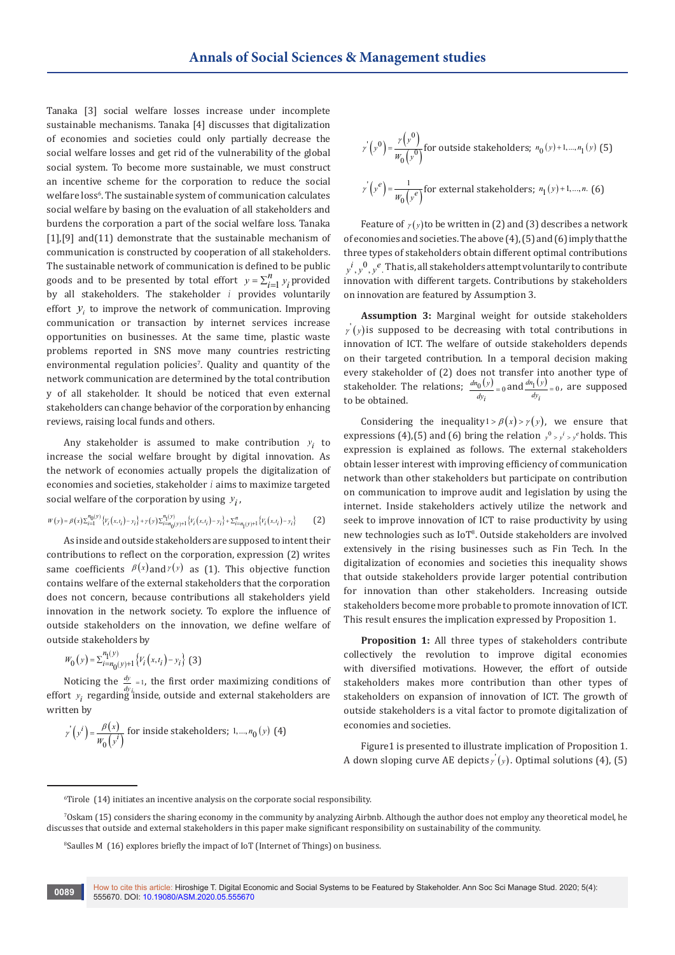Tanaka [3] social welfare losses increase under incomplete sustainable mechanisms. Tanaka [4] discusses that digitalization of economies and societies could only partially decrease the social welfare losses and get rid of the vulnerability of the global social system. To become more sustainable, we must construct an incentive scheme for the corporation to reduce the social welfare loss<sup>6</sup>. The sustainable system of communication calculates social welfare by basing on the evaluation of all stakeholders and burdens the corporation a part of the social welfare loss. Tanaka [1],[9] and(11) demonstrate that the sustainable mechanism of communication is constructed by cooperation of all stakeholders. The sustainable network of communication is defined to be public goods and to be presented by total effort  $y = \sum_{i=1}^{n} y_i$  provided by all stakeholders. The stakeholder *i* provides voluntarily effort  $y_i$  to improve the network of communication. Improving communication or transaction by internet services increase opportunities on businesses. At the same time, plastic waste problems reported in SNS move many countries restricting environmental regulation policies'. Quality and quantity of the network communication are determined by the total contribution y of all stakeholder. It should be noticed that even external stakeholders can change behavior of the corporation by enhancing reviews, raising local funds and others.

Any stakeholder is assumed to make contribution  $y_i$  to increase the social welfare brought by digital innovation. As the network of economies actually propels the digitalization of economies and societies, stakeholder *i* aims to maximize targeted social welfare of the corporation by using  $y_i$ ,

$$
W(y) = \beta(x) \sum_{i=1}^{n_0(y)} \left\{ V_i(x, t_i) - y_i \right\} + \gamma(y) \sum_{i=n_0(y)+1}^{n_1(y)} \left\{ V_i(x, t_i) - y_i \right\} + \sum_{i=n_1(y)+1}^{n} \left\{ V_i(x, t_i) - y_i \right\} \tag{2}
$$

As inside and outside stakeholders are supposed to intent their contributions to reflect on the corporation, expression (2) writes same coefficients  $\beta(x)$  and  $\gamma(y)$  as (1). This objective function contains welfare of the external stakeholders that the corporation does not concern, because contributions all stakeholders yield innovation in the network society. To explore the influence of outside stakeholders on the innovation, we define welfare of outside stakeholders by

$$
W_0(y) = \sum_{i=n_0(y)+1}^{n_1(y)} \left\{ V_i(x,t_i) - y_i \right\} (3)
$$

Noticing the  $\frac{dy}{dx}$  = 1, the first order maximizing conditions of effort  $y_i$  regarding inside, outside and external stakeholders are written by

$$
r'(y^i) = \frac{\beta(x)}{W_0(y^i)}
$$
 for inside stakeholders; 1,...,n<sub>0</sub> (y) (4)

$$
r'(y^0) = \frac{r(y^0)}{w_0(y^0)}
$$
 for outside stakeholders;  $n_0(y) + 1, ..., n_1(y)$  (5)  

$$
r'(y^e) = \frac{1}{w_0(y^e)}
$$
 for external stakeholders;  $n_1(y) + 1, ..., n$ . (6)

Feature of  $\gamma(y)$  to be written in (2) and (3) describes a network of economies and societies. The above (4), (5) and (6) imply that the three types of stakeholders obtain different optimal contributions  $y^{i}$  ,  $y^{0}$  ,  $y^{e}$  . That is, all stakeholders attempt voluntarily to contribute innovation with different targets. Contributions by stakeholders on innovation are featured by Assumption 3.

**Assumption 3:** Marginal weight for outside stakeholders  $y'(y)$  is supposed to be decreasing with total contributions in innovation of ICT. The welfare of outside stakeholders depends on their targeted contribution. In a temporal decision making every stakeholder of (2) does not transfer into another type of stakeholder. The relations;  $\frac{dn_0(y)}{dy_i} = 0$  and  $\frac{dn_1(y)}{dy_i} = 0$ , are supposed to be obtained. to be obtained.

Considering the inequality1 >  $\beta(x)$  >  $\gamma(y)$ , we ensure that expressions (4),(5) and (6) bring the relation  $y^0 > y^i > y^e$  holds. This expression is explained as follows. The external stakeholders obtain lesser interest with improving efficiency of communication network than other stakeholders but participate on contribution on communication to improve audit and legislation by using the internet. Inside stakeholders actively utilize the network and seek to improve innovation of ICT to raise productivity by using new technologies such as IoT8 . Outside stakeholders are involved extensively in the rising businesses such as Fin Tech. In the digitalization of economies and societies this inequality shows that outside stakeholders provide larger potential contribution for innovation than other stakeholders. Increasing outside stakeholders become more probable to promote innovation of ICT. This result ensures the implication expressed by Proposition 1.

**Proposition 1:** All three types of stakeholders contribute collectively the revolution to improve digital economies with diversified motivations. However, the effort of outside stakeholders makes more contribution than other types of stakeholders on expansion of innovation of ICT. The growth of outside stakeholders is a vital factor to promote digitalization of economies and societies.

Figure1 is presented to illustrate implication of Proposition 1. A down sloping curve AE depicts  $\gamma(y)$ . Optimal solutions (4), (5)

<sup>6</sup> Tirole (14) initiates an incentive analysis on the corporate social responsibility.

<sup>7</sup> Oskam (15) considers the sharing economy in the community by analyzing Airbnb. Although the author does not employ any theoretical model, he discusses that outside and external stakeholders in this paper make significant responsibility on sustainability of the community.

<sup>8</sup> Saulles M (16) explores briefly the impact of IoT (Internet of Things) on business.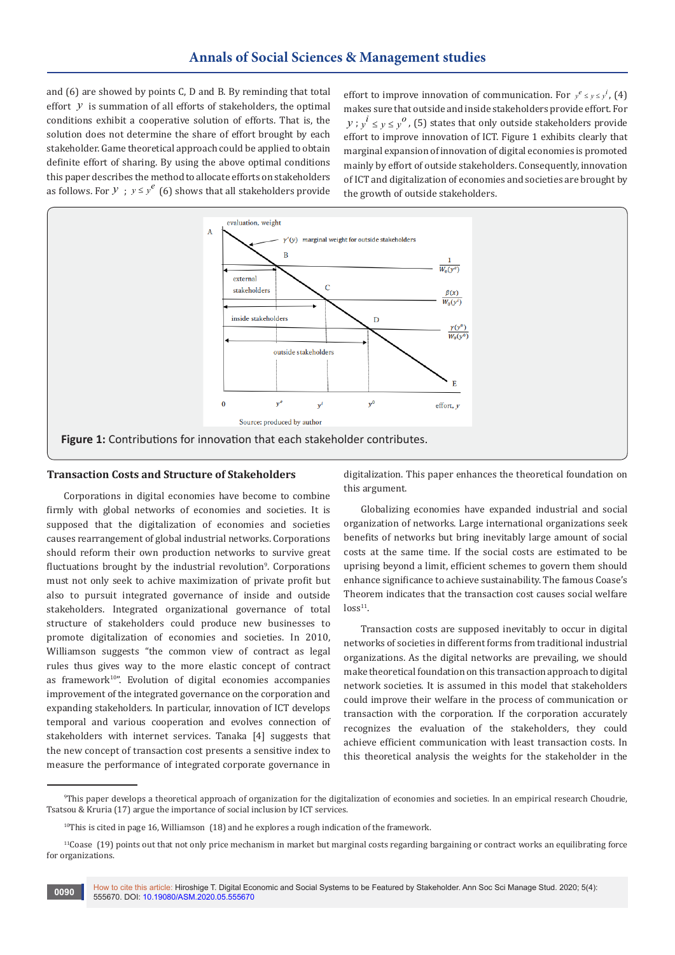and (6) are showed by points C, D and B. By reminding that total effort *y* is summation of all efforts of stakeholders, the optimal conditions exhibit a cooperative solution of efforts. That is, the solution does not determine the share of effort brought by each stakeholder. Game theoretical approach could be applied to obtain definite effort of sharing. By using the above optimal conditions this paper describes the method to allocate efforts on stakeholders as follows. For  $y$ ;  $y \le y^e$  (6) shows that all stakeholders provide

effort to improve innovation of communication. For  $y^e \le y \le y^i$ , (4) makes sure that outside and inside stakeholders provide effort. For  $y$ ;  $y^i \le y \le y^0$ , (5) states that only outside stakeholders provide effort to improve innovation of ICT. Figure 1 exhibits clearly that marginal expansion of innovation of digital economies is promoted mainly by effort of outside stakeholders. Consequently, innovation of ICT and digitalization of economies and societies are brought by the growth of outside stakeholders.



# **Transaction Costs and Structure of Stakeholders**

Corporations in digital economies have become to combine firmly with global networks of economies and societies. It is supposed that the digitalization of economies and societies causes rearrangement of global industrial networks. Corporations should reform their own production networks to survive great fluctuations brought by the industrial revolution<sup>9</sup>. Corporations must not only seek to achive maximization of private profit but also to pursuit integrated governance of inside and outside stakeholders. Integrated organizational governance of total structure of stakeholders could produce new businesses to promote digitalization of economies and societies. In 2010, Williamson suggests "the common view of contract as legal rules thus gives way to the more elastic concept of contract as framework<sup>10"</sup>. Evolution of digital economies accompanies improvement of the integrated governance on the corporation and expanding stakeholders. In particular, innovation of ICT develops temporal and various cooperation and evolves connection of stakeholders with internet services. Tanaka [4] suggests that the new concept of transaction cost presents a sensitive index to measure the performance of integrated corporate governance in

digitalization. This paper enhances the theoretical foundation on this argument.

Globalizing economies have expanded industrial and social organization of networks. Large international organizations seek benefits of networks but bring inevitably large amount of social costs at the same time. If the social costs are estimated to be uprising beyond a limit, efficient schemes to govern them should enhance significance to achieve sustainability. The famous Coase's Theorem indicates that the transaction cost causes social welfare  $loss<sup>11</sup>$ .

Transaction costs are supposed inevitably to occur in digital networks of societies in different forms from traditional industrial organizations. As the digital networks are prevailing, we should make theoretical foundation on this transaction approach to digital network societies. It is assumed in this model that stakeholders could improve their welfare in the process of communication or transaction with the corporation. If the corporation accurately recognizes the evaluation of the stakeholders, they could achieve efficient communication with least transaction costs. In this theoretical analysis the weights for the stakeholder in the

<sup>9</sup> This paper develops a theoretical approach of organization for the digitalization of economies and societies. In an empirical research Choudrie, Tsatsou & Kruria (17) argue the importance of social inclusion by ICT services.

<sup>&</sup>lt;sup>10</sup>This is cited in page 16, Williamson (18) and he explores a rough indication of the framework.

 $11$ Coase (19) points out that not only price mechanism in market but marginal costs regarding bargaining or contract works an equilibrating force for organizations.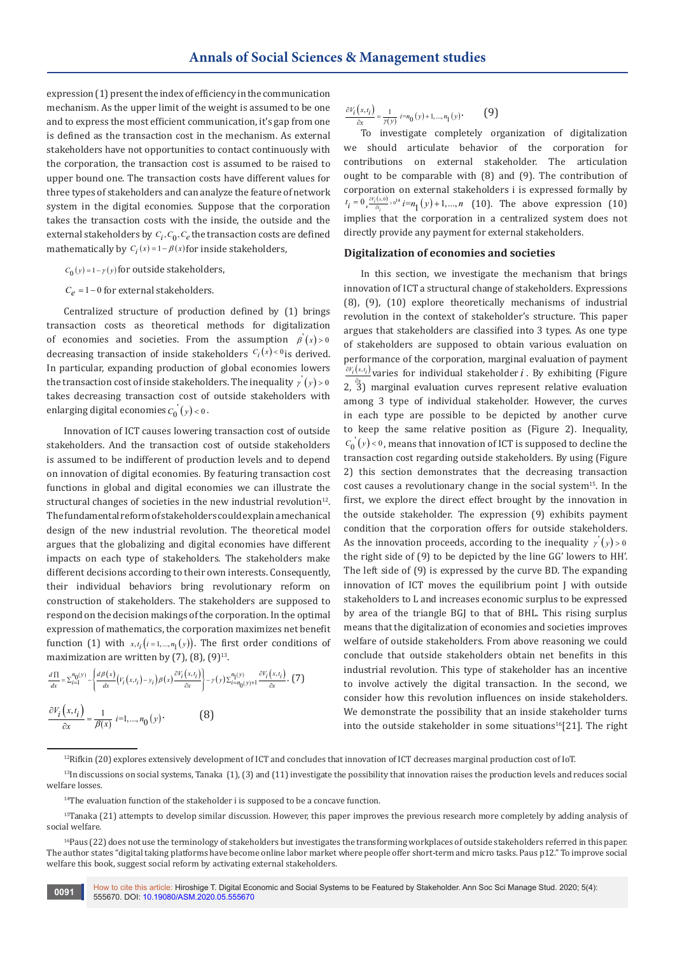expression (1) present the index of efficiency in the communication mechanism. As the upper limit of the weight is assumed to be one and to express the most efficient communication, it's gap from one is defined as the transaction cost in the mechanism. As external stakeholders have not opportunities to contact continuously with the corporation, the transaction cost is assumed to be raised to upper bound one. The transaction costs have different values for three types of stakeholders and can analyze the feature of network system in the digital economies. Suppose that the corporation takes the transaction costs with the inside, the outside and the external stakeholders by  $C_i$ ,  $C_0$ ,  $C_e$  the transaction costs are defined mathematically by  $C_i(x) = 1 - \beta(x)$  for inside stakeholders,

- $C_0(y) = 1 \gamma(y)$  for outside stakeholders,
- $C_e$  = 1 0 for external stakeholders.

Centralized structure of production defined by (1) brings transaction costs as theoretical methods for digitalization of economies and societies. From the assumption  $\beta'(x) > 0$ decreasing transaction of inside stakeholders  $C_i(x) < 0$  is derived. In particular, expanding production of global economies lowers the transaction cost of inside stakeholders. The inequality  $y'(y) > 0$ takes decreasing transaction cost of outside stakeholders with enlarging digital economies  $C_0(y) < 0$ .

Innovation of ICT causes lowering transaction cost of outside stakeholders. And the transaction cost of outside stakeholders is assumed to be indifferent of production levels and to depend on innovation of digital economies. By featuring transaction cost functions in global and digital economies we can illustrate the structural changes of societies in the new industrial revolution $12$ . The fundamental reform of stakeholders could explain a mechanical design of the new industrial revolution. The theoretical model argues that the globalizing and digital economies have different impacts on each type of stakeholders. The stakeholders make different decisions according to their own interests. Consequently, their individual behaviors bring revolutionary reform on construction of stakeholders. The stakeholders are supposed to respond on the decision makings of the corporation. In the optimal expression of mathematics, the corporation maximizes net benefit function (1) with  $x, t_i$  ( $i = 1,..., n_1(y)$ ). The first order conditions of maximization are written by  $(7)$ ,  $(8)$ ,  $(9)$ <sup>13</sup>.

$$
\frac{d\Pi}{dx} = \sum_{i=1}^{n_0(y)} -\left\{ \frac{d\beta(x)}{dx} \left( V_i(x, t_i) - y_i \right) \beta(x) \frac{\partial V_i(x, t_i)}{\partial x} \right\} - \gamma(y) \sum_{i=n_0(y)+1}^{n_1(y)} \frac{\partial V_i(x, t_i)}{\partial x} .
$$
 (7)  

$$
\frac{\partial V_i(x, t_i)}{\partial x} = \frac{1}{\beta(x)} \ i = 1, ..., n_0(y)
$$
 (8)

$$
\frac{\partial V_i\left(x,t_i\right)}{\partial x}=\frac{1}{\gamma(y)}\ i=n_0\left(y\right)+1,...,n_1\left(y\right)\cdot\qquad \ \ \textbf{\text{(9)}}
$$

To investigate completely organization of digitalization we should articulate behavior of the corporation for contributions on external stakeholder. The articulation ought to be comparable with (8) and (9). The contribution of corporation on external stakeholders i is expressed formally by  $t_i = 0, \frac{\partial Y_i(x,0)}{\partial t}, 0^{14} i = n_1(y) + 1,..., n$  (10). The above expression (10) implies that the corporation in a centralized system does not directly provide any payment for external stakeholders.

## **Digitalization of economies and societies**

In this section, we investigate the mechanism that brings innovation of ICT a structural change of stakeholders. Expressions (8), (9), (10) explore theoretically mechanisms of industrial revolution in the context of stakeholder's structure. This paper argues that stakeholders are classified into 3 types. As one type of stakeholders are supposed to obtain various evaluation on performance of the corporation, marginal evaluation of payment  $\frac{\partial V_i(x,t_i)}{\partial x}$  varies for individual stakeholder *i*. By exhibiting (Figure 2, <sup>a</sup><sup>3</sup>) marginal evaluation curves represent relative evaluation among 3 type of individual stakeholder. However, the curves in each type are possible to be depicted by another curve to keep the same relative position as (Figure 2). Inequality,  $C_0(y)$  < 0, means that innovation of ICT is supposed to decline the transaction cost regarding outside stakeholders. By using (Figure 2) this section demonstrates that the decreasing transaction cost causes a revolutionary change in the social system<sup>15</sup>. In the first, we explore the direct effect brought by the innovation in the outside stakeholder. The expression (9) exhibits payment condition that the corporation offers for outside stakeholders. As the innovation proceeds, according to the inequality  $\gamma'(y) > 0$ the right side of (9) to be depicted by the line GG' lowers to HH'. The left side of (9) is expressed by the curve BD. The expanding innovation of ICT moves the equilibrium point J with outside stakeholders to L and increases economic surplus to be expressed by area of the triangle BGJ to that of BHL. This rising surplus means that the digitalization of economies and societies improves welfare of outside stakeholders. From above reasoning we could conclude that outside stakeholders obtain net benefits in this industrial revolution. This type of stakeholder has an incentive to involve actively the digital transaction. In the second, we consider how this revolution influences on inside stakeholders. We demonstrate the possibility that an inside stakeholder turns into the outside stakeholder in some situations<sup>16</sup>[21]. The right

 $12$ Rifkin (20) explores extensively development of ICT and concludes that innovation of ICT decreases marginal production cost of IoT.

 $13$ In discussions on social systems, Tanaka (1), (3) and (11) investigate the possibility that innovation raises the production levels and reduces social welfare losses.

<sup>&</sup>lt;sup>14</sup>The evaluation function of the stakeholder i is supposed to be a concave function.

<sup>&</sup>lt;sup>15</sup>Tanaka (21) attempts to develop similar discussion. However, this paper improves the previous research more completely by adding analysis of social welfare.

<sup>&</sup>lt;sup>16</sup>Paus (22) does not use the terminology of stakeholders but investigates the transforming workplaces of outside stakeholders referred in this paper. The author states "digital taking platforms have become online labor market where people offer short-term and micro tasks. Paus p12." To improve social welfare this book, suggest social reform by activating external stakeholders.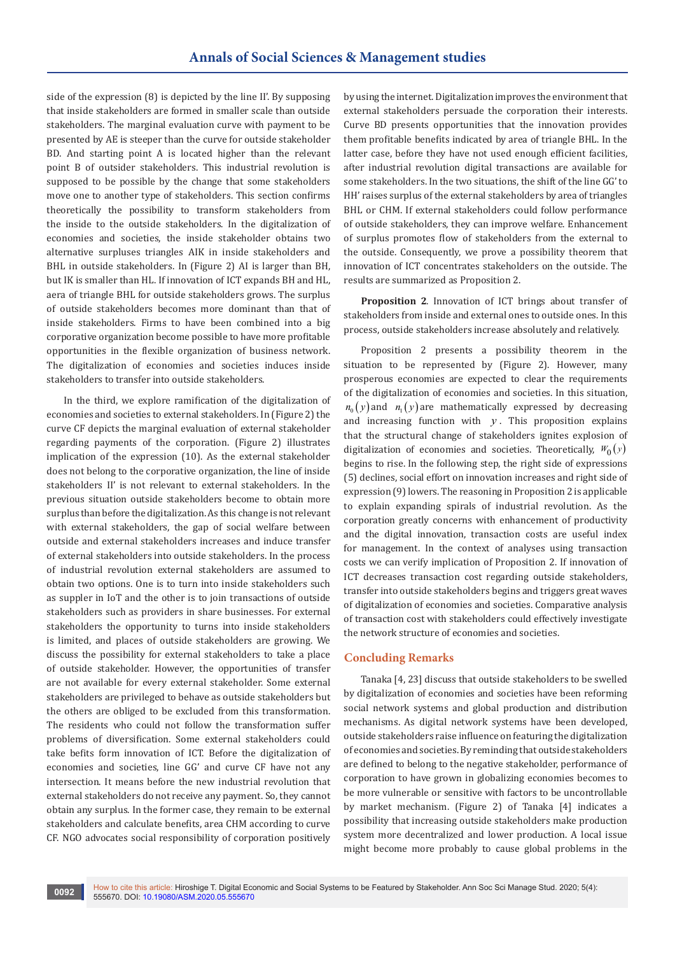side of the expression (8) is depicted by the line II'. By supposing that inside stakeholders are formed in smaller scale than outside stakeholders. The marginal evaluation curve with payment to be presented by AE is steeper than the curve for outside stakeholder BD. And starting point A is located higher than the relevant point B of outsider stakeholders. This industrial revolution is supposed to be possible by the change that some stakeholders move one to another type of stakeholders. This section confirms theoretically the possibility to transform stakeholders from the inside to the outside stakeholders. In the digitalization of economies and societies, the inside stakeholder obtains two alternative surpluses triangles AIK in inside stakeholders and BHL in outside stakeholders. In (Figure 2) AI is larger than BH, but IK is smaller than HL. If innovation of ICT expands BH and HL, aera of triangle BHL for outside stakeholders grows. The surplus of outside stakeholders becomes more dominant than that of inside stakeholders. Firms to have been combined into a big corporative organization become possible to have more profitable opportunities in the flexible organization of business network. The digitalization of economies and societies induces inside stakeholders to transfer into outside stakeholders.

In the third, we explore ramification of the digitalization of economies and societies to external stakeholders. In (Figure 2) the curve CF depicts the marginal evaluation of external stakeholder regarding payments of the corporation. (Figure 2) illustrates implication of the expression (10). As the external stakeholder does not belong to the corporative organization, the line of inside stakeholders II' is not relevant to external stakeholders. In the previous situation outside stakeholders become to obtain more surplus than before the digitalization. As this change is not relevant with external stakeholders, the gap of social welfare between outside and external stakeholders increases and induce transfer of external stakeholders into outside stakeholders. In the process of industrial revolution external stakeholders are assumed to obtain two options. One is to turn into inside stakeholders such as suppler in IoT and the other is to join transactions of outside stakeholders such as providers in share businesses. For external stakeholders the opportunity to turns into inside stakeholders is limited, and places of outside stakeholders are growing. We discuss the possibility for external stakeholders to take a place of outside stakeholder. However, the opportunities of transfer are not available for every external stakeholder. Some external stakeholders are privileged to behave as outside stakeholders but the others are obliged to be excluded from this transformation. The residents who could not follow the transformation suffer problems of diversification. Some external stakeholders could take befits form innovation of ICT. Before the digitalization of economies and societies, line GG' and curve CF have not any intersection. It means before the new industrial revolution that external stakeholders do not receive any payment. So, they cannot obtain any surplus. In the former case, they remain to be external stakeholders and calculate benefits, area CHM according to curve CF. NGO advocates social responsibility of corporation positively

by using the internet. Digitalization improves the environment that external stakeholders persuade the corporation their interests. Curve BD presents opportunities that the innovation provides them profitable benefits indicated by area of triangle BHL. In the latter case, before they have not used enough efficient facilities, after industrial revolution digital transactions are available for some stakeholders. In the two situations, the shift of the line GG' to HH' raises surplus of the external stakeholders by area of triangles BHL or CHM. If external stakeholders could follow performance of outside stakeholders, they can improve welfare. Enhancement of surplus promotes flow of stakeholders from the external to the outside. Consequently, we prove a possibility theorem that innovation of ICT concentrates stakeholders on the outside. The results are summarized as Proposition 2.

**Proposition 2**. Innovation of ICT brings about transfer of stakeholders from inside and external ones to outside ones. In this process, outside stakeholders increase absolutely and relatively.

Proposition 2 presents a possibility theorem in the situation to be represented by (Figure 2). However, many prosperous economies are expected to clear the requirements of the digitalization of economies and societies. In this situation,  $n_{0}(y)$  and  $n_{1}(y)$  are mathematically expressed by decreasing and increasing function with *y* . This proposition explains that the structural change of stakeholders ignites explosion of digitalization of economies and societies. Theoretically,  $W_0(y)$ begins to rise. In the following step, the right side of expressions (5) declines, social effort on innovation increases and right side of expression (9) lowers. The reasoning in Proposition 2 is applicable to explain expanding spirals of industrial revolution. As the corporation greatly concerns with enhancement of productivity and the digital innovation, transaction costs are useful index for management. In the context of analyses using transaction costs we can verify implication of Proposition 2. If innovation of ICT decreases transaction cost regarding outside stakeholders, transfer into outside stakeholders begins and triggers great waves of digitalization of economies and societies. Comparative analysis of transaction cost with stakeholders could effectively investigate the network structure of economies and societies.

# **Concluding Remarks**

Tanaka [4, 23] discuss that outside stakeholders to be swelled by digitalization of economies and societies have been reforming social network systems and global production and distribution mechanisms. As digital network systems have been developed, outside stakeholders raise influence on featuring the digitalization of economies and societies. By reminding that outside stakeholders are defined to belong to the negative stakeholder, performance of corporation to have grown in globalizing economies becomes to be more vulnerable or sensitive with factors to be uncontrollable by market mechanism. (Figure 2) of Tanaka [4] indicates a possibility that increasing outside stakeholders make production system more decentralized and lower production. A local issue might become more probably to cause global problems in the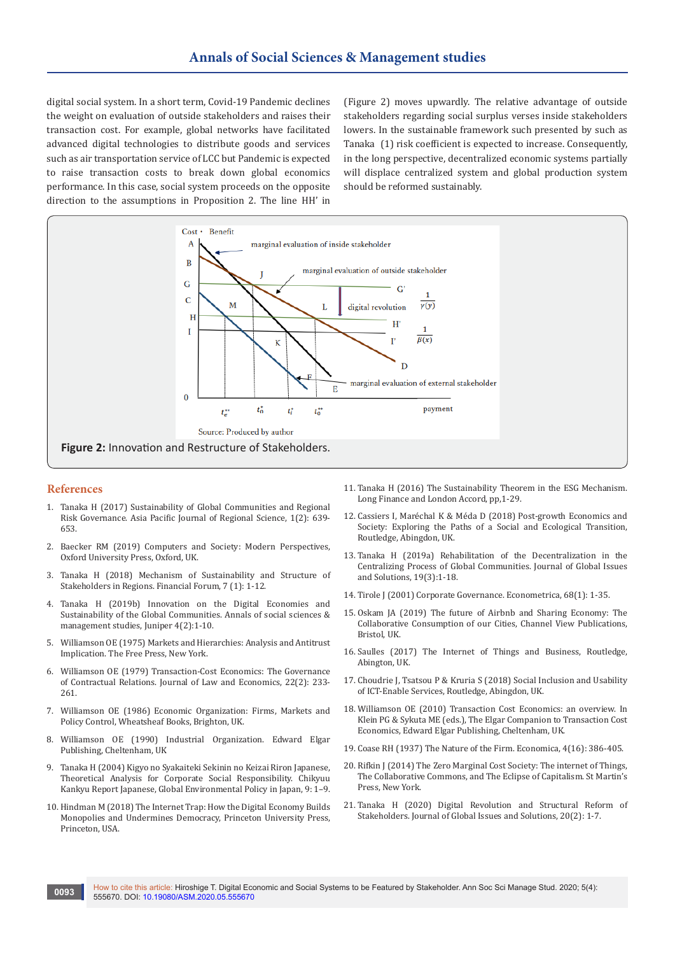digital social system. In a short term, Covid-19 Pandemic declines the weight on evaluation of outside stakeholders and raises their transaction cost. For example, global networks have facilitated advanced digital technologies to distribute goods and services such as air transportation service of LCC but Pandemic is expected to raise transaction costs to break down global economics performance. In this case, social system proceeds on the opposite direction to the assumptions in Proposition 2. The line HH' in

(Figure 2) moves upwardly. The relative advantage of outside stakeholders regarding social surplus verses inside stakeholders lowers. In the sustainable framework such presented by such as Tanaka (1) risk coefficient is expected to increase. Consequently, in the long perspective, decentralized economic systems partially will displace centralized system and global production system should be reformed sustainably.



# **References**

- 1. [Tanaka H \(2017\) Sustainability of Global Communities and Regional](https://econpapers.repec.org/article/sprapjors/v_3a1_3ay_3a2017_3ai_3a2_3ad_3a10.1007_5fs41685-017-0057-x.htm)  [Risk Governance. Asia Pacific Journal of Regional Science, 1\(2\): 639-](https://econpapers.repec.org/article/sprapjors/v_3a1_3ay_3a2017_3ai_3a2_3ad_3a10.1007_5fs41685-017-0057-x.htm) [653.](https://econpapers.repec.org/article/sprapjors/v_3a1_3ay_3a2017_3ai_3a2_3ad_3a10.1007_5fs41685-017-0057-x.htm)
- 2. Baecker RM (2019) Computers and Society: Modern Perspectives, Oxford University Press, Oxford, UK.
- 3. [Tanaka H \(2018\) Mechanism of Sustainability and Structure of](http://ojs.piscomed.com/index.php/FF/article/view/464)  [Stakeholders in Regions. Financial Forum, 7 \(1\): 1-12.](http://ojs.piscomed.com/index.php/FF/article/view/464)
- 4. [Tanaka H \(2019b\) Innovation on the Digital Economies and](https://juniperpublishers.com/asm/pdf/ASM.MS.ID.555635.pdf)  Sustainability of the Global Communities. Annals of social sciences & [management studies, Juniper 4\(2\):1-10.](https://juniperpublishers.com/asm/pdf/ASM.MS.ID.555635.pdf)
- 5. Williamson OE (1975) Markets and Hierarchies: Analysis and Antitrust Implication. The Free Press, New York.
- 6. [Williamson OE \(1979\) Transaction-Cost Economics: The Governance](https://www.jstor.org/stable/725118?seq=1)  [of Contractual Relations. Journal of Law and Economics, 22\(2\): 233-](https://www.jstor.org/stable/725118?seq=1) [261.](https://www.jstor.org/stable/725118?seq=1)
- 7. Williamson OE (1986) Economic Organization: Firms, Markets and Policy Control, Wheatsheaf Books, Brighton, UK.
- 8. Williamson OE (1990) Industrial Organization. Edward Elgar Publishing, Cheltenham, UK
- 9. Tanaka H (2004) Kigyo no Syakaiteki Sekinin no Keizai Riron Japanese, Theoretical Analysis for Corporate Social Responsibility. Chikyuu Kankyu Report Japanese, Global Environmental Policy in Japan, 9: 1–9.
- 10. [Hindman M \(2018\) The Internet Trap: How the Digital Economy Builds](https://www.jstor.org/stable/j.ctv36zrf8)  [Monopolies and Undermines Democracy, Princeton University Press,](https://www.jstor.org/stable/j.ctv36zrf8)  [Princeton, USA.](https://www.jstor.org/stable/j.ctv36zrf8)
- 11. Tanaka H (2016) The Sustainability Theorem in the ESG Mechanism. Long Finance and London Accord, pp,1-29.
- 12. Cassiers I, Maréchal K & Méda D (2018) Post-growth Economics and Society: Exploring the Paths of a Social and Ecological Transition, Routledge, Abingdon, UK.
- 13. Tanaka H (2019a) Rehabilitation of the Decentralization in the Centralizing Process of Global Communities. Journal of Global Issues and Solutions, 19(3):1-18.
- 14. [Tirole J \(2001\) Corporate Governance. Econometrica, 68\(1\): 1-35.](https://onlinelibrary.wiley.com/doi/10.1111/1468-0262.00177)
- 15. Oskam JA (2019) The future of Airbnb and Sharing Economy: The Collaborative Consumption of our Cities, Channel View Publications, Bristol, UK.
- 16. Saulles (2017) The Internet of Things and Business, Routledge, Abington, UK.
- 17. Choudrie J, Tsatsou P & Kruria S (2018) Social Inclusion and Usability of ICT-Enable Services, Routledge, Abingdon, UK.
- 18. Williamson OE (2010) Transaction Cost Economics: an overview. In Klein PG & Sykuta ME (eds.), The Elgar Companion to Transaction Cost Economics, Edward Elgar Publishing, Cheltenham, UK.
- 19. [Coase RH \(1937\) The Nature of the Firm. Economica, 4\(16\): 386-405.](https://onlinelibrary.wiley.com/doi/full/10.1111/j.1468-0335.1937.tb00002.x)
- 20. Rifkin J (2014) The Zero Marginal Cost Society: The internet of Things, The Collaborative Commons, and The Eclipse of Capitalism. St Martin's Press, New York.
- 21. Tanaka H (2020) Digital Revolution and Structural Reform of Stakeholders. Journal of Global Issues and Solutions, 20(2): 1-7.